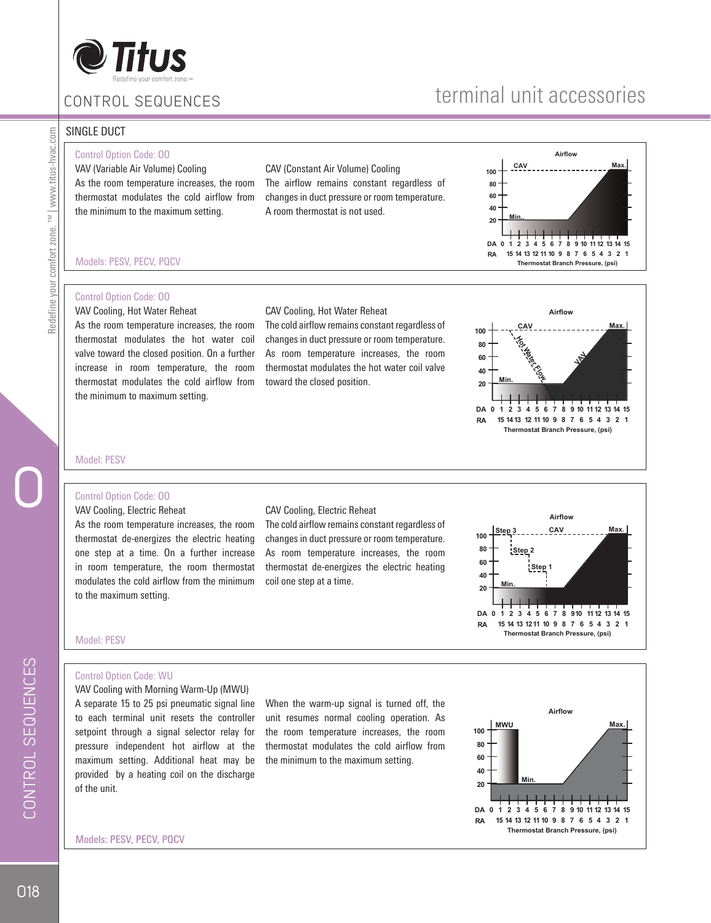

# terminal unit accessories

#### SINGLE DUCT

#### Control Option Code: OO

Models: PESV, PECV, PQCV

Control Option Code: OO VAV Cooling, Hot Water Reheat

VAV (Variable Air Volume) Cooling As the room temperature increases, the room thermostat modulates the cold airflow from the minimum to the maximum setting.

As the room temperature increases, the room thermostat modulates the hot water coil valve toward the closed position. On a further increase in room temperature, the room thermostat modulates the cold airflow from

CAV (Constant Air Volume) Cooling The airflow remains constant regardless of changes in duct pressure or room temperature. A room thermostat is not used.

The cold airflow remains constant regardless of changes in duct pressure or room temperature. As room temperature increases, the room thermostat modulates the hot water coil valve





#### Model: PESV

#### Control Option Code: OO

the minimum to maximum setting.

VAV Cooling, Electric Reheat As the room temperature increases, the room thermostat de-energizes the electric heating one step at a time. On a further increase in room temperature, the room thermostat modulates the cold airflow from the minimum to the maximum setting.

#### CAV Cooling, Electric Reheat

CAV Cooling, Hot Water Reheat

toward the closed position.

The cold airflow remains constant regardless of changes in duct pressure or room temperature. As room temperature increases, the room thermostat de-energizes the electric heating coil one step at a time.



Model: PESV

#### Control Option Code: WU

VAV Cooling with Morning Warm-Up (MWU) A separate 15 to 25 psi pneumatic signal line to each terminal unit resets the controller setpoint through a signal selector relay for pressure independent hot airflow at the maximum setting. Additional heat may be provided by a heating coil on the discharge of the unit.

When the warm-up signal is turned off, the unit resumes normal cooling operation. As the room temperature increases, the room thermostat modulates the cold airflow from the minimum to the maximum setting.



Models: PESV, PECV, PQCV

O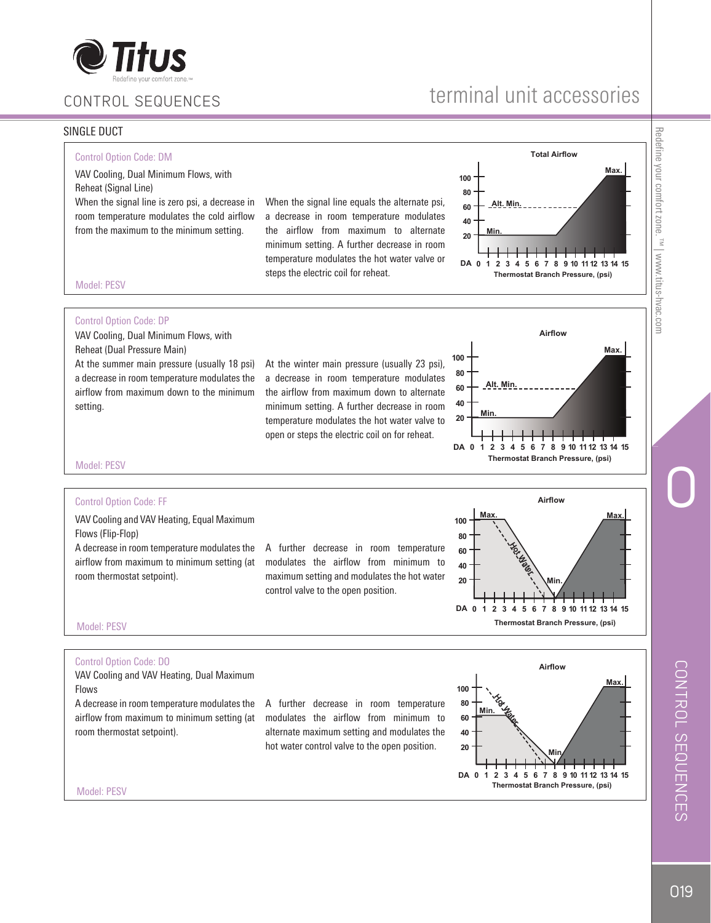

# terminal unit accessories

#### SINGLE DUCT



# Redefine your comfort zone. Redefine your comfort zone. ™ | www.titus-hvac.com  $\sim$  <sup>TM</sup> | www.titus-hvac.com

O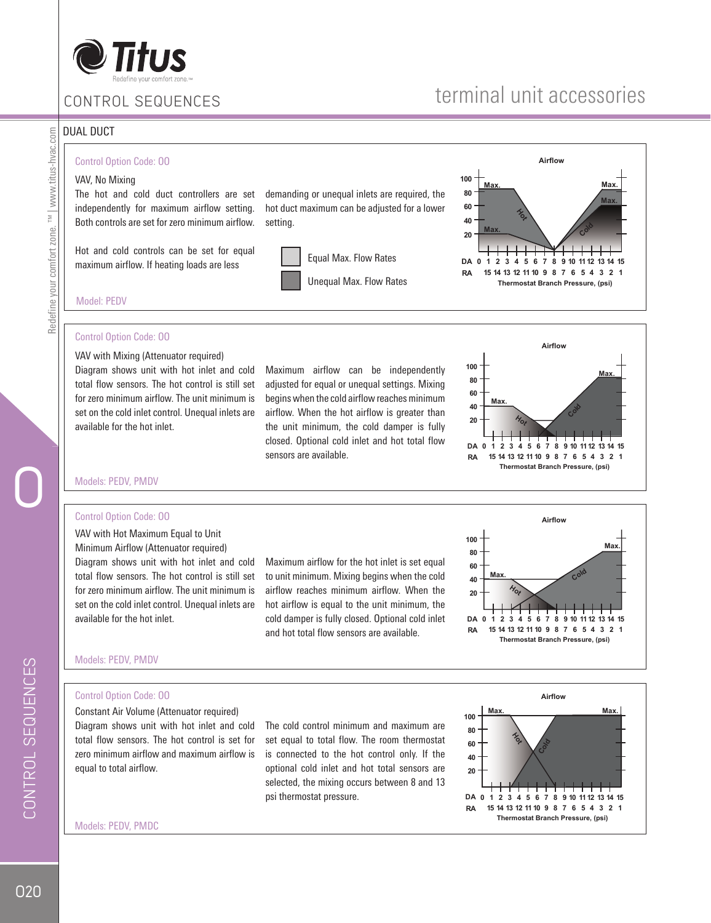

# terminal unit accessories

#### DUAL DUCT

Redefine your comfort zone. ™ | www.titus-hvac.com

Redefine your comfort zone. TM | www.titus-hvac.com

#### Control Option Code: OO

#### VAV, No Mixing

The hot and cold duct controllers are set independently for maximum airflow setting. Both controls are set for zero minimum airflow.

Hot and cold controls can be set for equal maximum airflow. If heating loads are less

demanding or unequal inlets are required, the hot duct maximum can be adjusted for a lower setting.

 Equal Max. Flow Rates Unequal Max. Flow Rates



Model: PEDV

#### Control Option Code: OO

VAV with Mixing (Attenuator required) Diagram shows unit with hot inlet and cold total flow sensors. The hot control is still set for zero minimum airflow. The unit minimum is set on the cold inlet control. Unequal inlets are available for the hot inlet.

Maximum airflow can be independently adjusted for equal or unequal settings. Mixing begins when the cold airflow reaches minimum airflow. When the hot airflow is greater than the unit minimum, the cold damper is fully closed. Optional cold inlet and hot total flow sensors are available.



#### Models: PEDV, PMDV

#### Control Option Code: OO

VAV with Hot Maximum Equal to Unit Minimum Airflow (Attenuator required) Diagram shows unit with hot inlet and cold total flow sensors. The hot control is still set for zero minimum airflow. The unit minimum is set on the cold inlet control. Unequal inlets are available for the hot inlet.

Maximum airflow for the hot inlet is set equal to unit minimum. Mixing begins when the cold airflow reaches minimum airflow. When the hot airflow is equal to the unit minimum, the cold damper is fully closed. Optional cold inlet and hot total flow sensors are available.



#### Models: PEDV, PMDV

#### Control Option Code: OO

Constant Air Volume (Attenuator required) Diagram shows unit with hot inlet and cold total flow sensors. The hot control is set for zero minimum airflow and maximum airflow is equal to total airflow.

The cold control minimum and maximum are set equal to total flow. The room thermostat is connected to the hot control only. If the optional cold inlet and hot total sensors are selected, the mixing occurs between 8 and 13 psi thermostat pressure.



Models: PEDV, PMDC

CONTROL SEQUENCES CONTROL SEQUENCES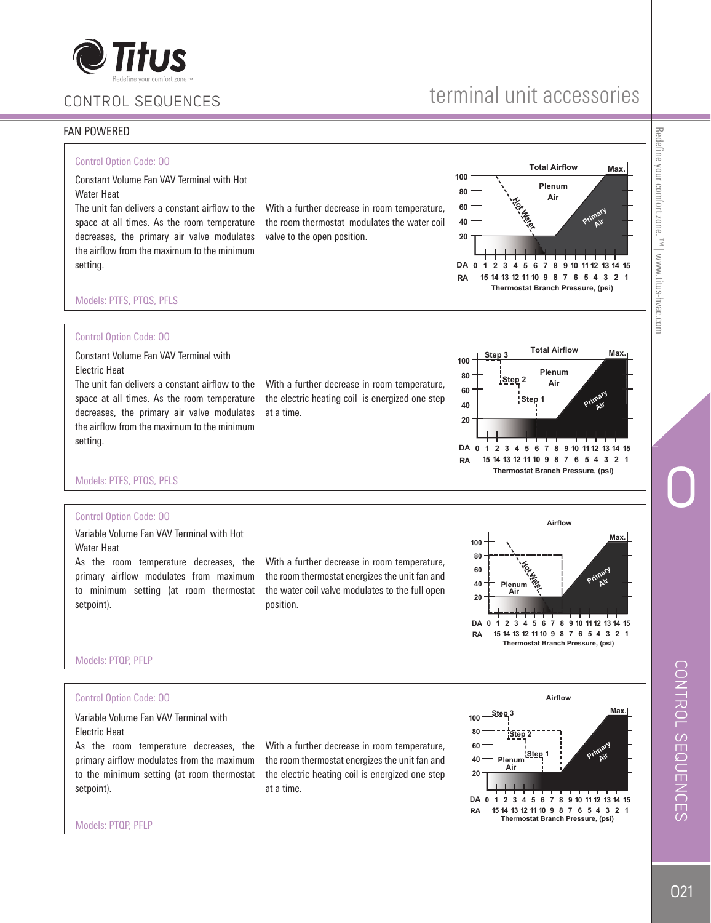

#### FAN POWERED

#### Control Option Code: OO

Constant Volume Fan VAV Terminal with Hot Water Heat

The unit fan delivers a constant airflow to the space at all times. As the room temperature decreases, the primary air valve modulates the airflow from the maximum to the minimum setting.

With a further decrease in room temperature, the room thermostat modulates the water coil valve to the open position.



#### Models: PTFS, PTQS, PFLS

#### Control Option Code: OO

Constant Volume Fan VAV Terminal with Electric Heat

The unit fan delivers a constant airflow to the space at all times. As the room temperature decreases, the primary air valve modulates the airflow from the maximum to the minimum setting.

With a further decrease in room temperature, the electric heating coil is energized one step at a time.



Models: PTFS, PTQS, PFLS

#### Control Option Code: OO

Variable Volume Fan VAV Terminal with Hot Water Heat

As the room temperature decreases, the primary airflow modulates from maximum to minimum setting (at room thermostat setpoint).

With a further decrease in room temperature, the room thermostat energizes the unit fan and the water coil valve modulates to the full open position.

**Thermostat Branch Pressure, (psi) 100 80 60 40 20 DA RA 0123456789 10 1112 13 14 15 15 14 13 12 11 10 9 8 765 4321** Hot **Hater Plenum Max. Primary Air Airflow Primary Air**

Models: PTQP, PFLP

Models: PTQP, PFLP

#### Control Option Code: OO

Variable Volume Fan VAV Terminal with Electric Heat

As the room temperature decreases, the primary airflow modulates from the maximum to the minimum setting (at room thermostat setpoint).

With a further decrease in room temperature, the room thermostat energizes the unit fan and the electric heating coil is energized one step at a time.



Redefine your comfort zone. Redefine your comfort zone. ™ | www.titus-hvac.com . <sup>"M</sup> | www.titus-hvac.com

O

terminal unit accessories